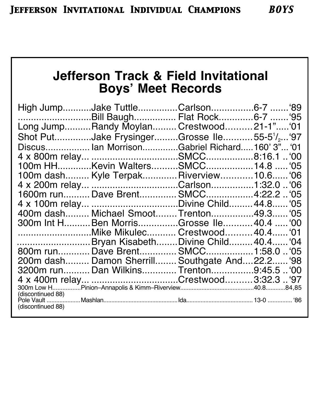# **Jefferson Track & Field Invitational Boys' Meet Records**

|  | $00^{\circ}$                                                                                                                                                                                                                                                                                                                                                                                                                                                                                                                                                                                                                                                                   |
|--|--------------------------------------------------------------------------------------------------------------------------------------------------------------------------------------------------------------------------------------------------------------------------------------------------------------------------------------------------------------------------------------------------------------------------------------------------------------------------------------------------------------------------------------------------------------------------------------------------------------------------------------------------------------------------------|
|  |                                                                                                                                                                                                                                                                                                                                                                                                                                                                                                                                                                                                                                                                                |
|  |                                                                                                                                                                                                                                                                                                                                                                                                                                                                                                                                                                                                                                                                                |
|  |                                                                                                                                                                                                                                                                                                                                                                                                                                                                                                                                                                                                                                                                                |
|  |                                                                                                                                                                                                                                                                                                                                                                                                                                                                                                                                                                                                                                                                                |
|  |                                                                                                                                                                                                                                                                                                                                                                                                                                                                                                                                                                                                                                                                                |
|  |                                                                                                                                                                                                                                                                                                                                                                                                                                                                                                                                                                                                                                                                                |
|  |                                                                                                                                                                                                                                                                                                                                                                                                                                                                                                                                                                                                                                                                                |
|  |                                                                                                                                                                                                                                                                                                                                                                                                                                                                                                                                                                                                                                                                                |
|  |                                                                                                                                                                                                                                                                                                                                                                                                                                                                                                                                                                                                                                                                                |
|  |                                                                                                                                                                                                                                                                                                                                                                                                                                                                                                                                                                                                                                                                                |
|  |                                                                                                                                                                                                                                                                                                                                                                                                                                                                                                                                                                                                                                                                                |
|  |                                                                                                                                                                                                                                                                                                                                                                                                                                                                                                                                                                                                                                                                                |
|  |                                                                                                                                                                                                                                                                                                                                                                                                                                                                                                                                                                                                                                                                                |
|  |                                                                                                                                                                                                                                                                                                                                                                                                                                                                                                                                                                                                                                                                                |
|  |                                                                                                                                                                                                                                                                                                                                                                                                                                                                                                                                                                                                                                                                                |
|  |                                                                                                                                                                                                                                                                                                                                                                                                                                                                                                                                                                                                                                                                                |
|  | High JumpJake TuttleCarlson6-7  '89<br>Bill BaughFlat Rock6-7  '95<br>Long JumpRandy Moylan Crestwood21-1"'01<br>Shot PutJake FrysingerGrosse Ile55-5 <sup>1</sup> / <sub>2</sub> <sup>4</sup> 97<br>Discus Ian MorrisonGabriel Richard160' 3" '01<br>100m HHKevin WaltersSMCC14.8 '05<br>100m dash Kyle Terpak Riverview 10.6 '06<br>4 x 200m relay Carlson1:32.0  '06<br>1600m runDave Brent SMCC4:22.2  '05<br>400m dash Michael Smoot Trenton49.3 '05<br>300m Int HBen MorrisGrosse Ile 40.4  '00<br>Mike Mikulec Crestwood 40.4 '01<br>Bryan Kisabeth Divine Child 40.4 '04<br>200m dash Damon Sherrill Southgate And22.2 '98<br>3200m run Dan Wilkins Trenton9:45.5  '00 |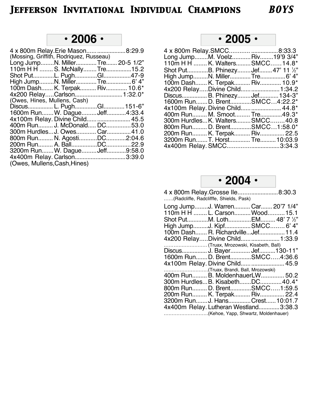## **• 2006 •**

| 4 x 800m Relay. Erie Mason 8:29.9                                                                       |
|---------------------------------------------------------------------------------------------------------|
|                                                                                                         |
| Long JumpN. MillerTre 20-5 1/2"                                                                         |
| 110m H H  S. McNally Tre15.2                                                                            |
| Shot PutL. PughGl47-9                                                                                   |
|                                                                                                         |
| 100m Dash K. Terpak Riv 10.6*                                                                           |
|                                                                                                         |
|                                                                                                         |
| Discus L. PughGl 151-6"                                                                                 |
| 1600m Run W. Dague Jeff4:33.4                                                                           |
| 4x100m Relay. Divine Child  45.5                                                                        |
| 400m Run J. McDonald DC53.0                                                                             |
| 300m Hurdles J. Owes Car 41.0                                                                           |
| 800m Run N. AgostiDC2:04.6                                                                              |
| 200m Run A. BallDC22.9                                                                                  |
| 3200m Run W. Dague Jeff9:58.0                                                                           |
| 4x400m Relay. Carlson3:39.0                                                                             |
|                                                                                                         |
| (Mossing, Griffith, Rodriquez, Russeau)<br>(Owes, Hines, Mullens, Cash)<br>(Owes, Mullens, Cash, Hines) |

## **• 2005 •**

| 4 x 800m Relay.SMCC 8:33.3        |  |
|-----------------------------------|--|
| Long JumpM. Voelz Riv19'9 3/4"    |  |
| 110m H H  K. Walters SMCC 14.8*   |  |
| Shot PutB. PhinezyJef 47' 11 1/2" |  |
|                                   |  |
| 100m Dash K. Terpak Riv 10.9*     |  |
| 4x200 RelayDivine Child  1:34.2   |  |
| Discus B. Phinezy Jef 134-3"      |  |
| 1600m RunD. BrentSMCC4:22.2*      |  |
| 4x100m Relay. Divine Child 44.8*  |  |
| 400m Run M. Smoot Tre49.3*        |  |
| 300m HurdlesK. WaltersSMCC40.8    |  |
| 800m Run D. BrentSMCC1:58.0*      |  |
| 200m Run K. Terpak Riv 22.5       |  |
| 3200m RunT. Horst Tre 10:03.9     |  |
|                                   |  |

**• 2004 •**

| 4 x 800m Relay. Grosse Ile 8:30.3<br>(Radcliffe, Radclifffe, Shields, Pask) |  |
|-----------------------------------------------------------------------------|--|
| Long JumpJ. Warren Car 20'7 1/4"                                            |  |
| 110m H H  L. Carson Wood 15.1                                               |  |
| Shot PutM. LothEM 48' 7 1/2"                                                |  |
| High JumpJ. KipfSMCC 6' 4"                                                  |  |
| 100m Dash R. Richardville Jef 11.4                                          |  |
| 4x200 RelayDivine Child  1:33.9                                             |  |
| (Truax, Mrozowski, Kisabeth, Ball)                                          |  |
| Discus J. Bayer Jef 130-11"                                                 |  |
| 1600m RunD. BrentSMCC4:36.6                                                 |  |
| 4x100m Relay. Divine Child  45.9                                            |  |
| (Truax, Brandi, Ball, Mrozowski)                                            |  |
| 400m Run B. MoldenhauerLW 50.2                                              |  |
| 300m HurdlesB. KisabethDC40.4*                                              |  |
| 800m Run D. BrentSMCC1:59.5                                                 |  |
| 200m Run K. Terpak Riv 22.4                                                 |  |
| 3200m RunJ. HansCrest10:01.7                                                |  |
| 4x400m Relay. Lutheran Westland3:38.3                                       |  |
| (Kehoe, Yapp, Shwartz, Moldenhauer)                                         |  |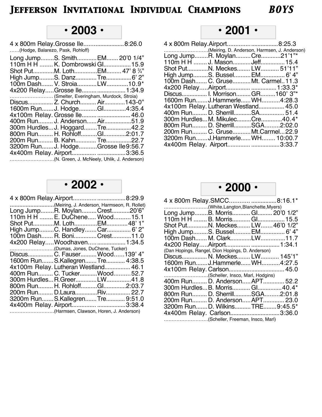## **• 2003 •**

| 4 x 800m Relay. Grosse Ile 8:26.0 |  |
|-----------------------------------|--|
| (Hodge, Balarezo, Pask, Rohloff)  |  |

| Long JumpS. Smith EM 20'0 1/4"         |
|----------------------------------------|
| 110m H H  K. Dombrowski Gl 15.9        |
| Shot PutM. LothEM 47' 8 3/4"           |
| High JumpS. DanzTre 6' 2"              |
| 100m Dash V. StroiaLW10.9*             |
|                                        |
| (Smelter, Everingham, Murdock, Stroia) |
| Discus Z. Church Air 143-0"            |
| 1600m RunJ. HodgeGl4:35.4              |
|                                        |
| 400m Run J. Anderson Air51.9           |
| 300m HurdlesJ. HoggardTre42.2          |
| 800m Run H. RohloffGl2:01.7            |
| 200m Run B. Kahn Tre22.7               |
| 3200m Run J. HodgeGrosse Ile9:56.7     |
|                                        |
|                                        |
|                                        |

### **• 2002 •**

| (Meiring, J. Anderson, Harmseon, R. Rollet) |  |
|---------------------------------------------|--|
| Long JumpR. MoylanCrest20'6"                |  |
| 110m H H  E. DuChene Wood 15.1              |  |
| Shot PutM. LothEM48' 1"                     |  |
| High JumpC. HandleyCar 6' 2"                |  |
| 100m Dash R. Boni Crest11.0                 |  |
| 4x200 RelayWoodhaven 1:34.5                 |  |
|                                             |  |
| Discus C. Fauser Wood139' 4"                |  |
| 1600m Run S.Kallegren Tre 4:38.5            |  |
| 4x100m Relay. Lutheran Westland 46.1        |  |
| 400m Run C. TuckerWood52.7                  |  |
| 300m Hurdles R. Greer LW41.8                |  |
| 800m Run H. RohloffGl2:03.7                 |  |
| 200m Run D.LauraRiv 22.7                    |  |
| 3200m RunS.KallegrenTre 9:51.0              |  |
|                                             |  |
| (Harmsen, Clawson, Horen, J. Anderson)      |  |

## **• 2001 •**

| (Meiring, D. Anderson, Harmsen, J. Anderson) |  |
|----------------------------------------------|--|
| Long JumpR. MoylanCre21'1"*                  |  |
| 110m H H  J. Mason Jeff 15.4                 |  |
| Shot PutN. Meckes LW 51'11"                  |  |
| High JumpS. Bussel EM 6' 4"                  |  |
| 100m Dash C. Gruse Mt. Carmel11.3            |  |
|                                              |  |
|                                              |  |
| 1600m RunJ.Hammerle WH4:28.3                 |  |
| 4x100m Relay. Lutheran Westland 45.0         |  |
| 400m Run D. SherrillSA 51.4                  |  |
| 300m HurdlesM. MikulecCre40.4*               |  |
| 800m Run D. SherrillSGA2:02.0                |  |
| 200m Run C. Gruse Mt.Carmel22.9              |  |
| 3200m Run J.Hammerle WH 10:00.7              |  |
| 4x400m Relay. Airport 3:33.7                 |  |
|                                              |  |

## **• 2000 •**

| 4 x 800m Relay.SMCC 8:16.1*                      |  |
|--------------------------------------------------|--|
| (White,Langton,Blanchette,Myers)                 |  |
| Long JumpB. Morris Gl 20'0 1/2"                  |  |
| 110m H H  B. Morris Gl 15.5                      |  |
| Shot PutN. Meckes LW 46'0 1/2"                   |  |
| High JumpS. Bussel EM 6' 4"                      |  |
| 100m Dash M. ClarkLW11.7                         |  |
|                                                  |  |
| (Dan Hopings, Rangel, Dion Hopings, D. Anderson) |  |
| Discus N. Meckes LW 145'1"                       |  |
| 1600m RunJ. Hammerle WH4:27.5                    |  |
|                                                  |  |
| (Scheller, Insco, Marl, Hodgins)                 |  |
| 400m Run D. Anderson APT 52.2                    |  |
| 300m HurdlesB. Morris Gl 40.4*                   |  |
| 800m Run D. SherrillSGA2:01.8                    |  |
| 200m Run D. Anderson APT 23.0                    |  |
| 3200m RunD. WilkinsTRE9:45.5*                    |  |
| 4x400m Relay. Carlson3:36.0                      |  |
| (Scheller, Freeman, Insco, Marl)                 |  |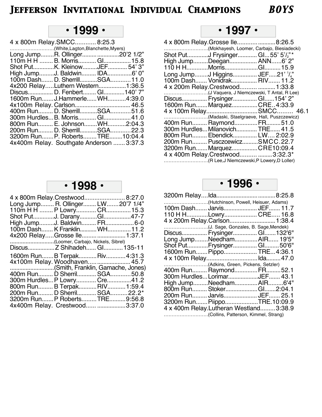## **• 1999 •**

| 4 x 800m Relay. SMCC 8:25.3              |  |
|------------------------------------------|--|
| (White,Lagton,Blanchette,Myers)          |  |
| Long JumpR. Ollinger20'2 1/2"            |  |
| 110m H H  B. Morris Gl 15.8              |  |
| Shot PutK. KleinowJEF 54' 3"             |  |
| High JumpJ. Baldwin IDA6' 0"             |  |
| 100m Dash D. SherrillSGA11.0             |  |
| 4x200 RelayLuthern Western1:36.5         |  |
| Discus D. Fenbert Gl140'7"               |  |
| 1600m Run J.Hammerle WH4:39.0            |  |
|                                          |  |
| 400m Run D. SherrillSGA51.6              |  |
| 300m HurdlesB. Morris Gl41.0             |  |
| 800m Run E. JohnsonWH2:04.3              |  |
| 200m Run D. SherrillSGA22.3              |  |
| 3200m Run P. Roberts TRE 10:04.4         |  |
| 4x400m Relay. Southgate Anderson  3:37.3 |  |
|                                          |  |

# **• 1997 •**

| 4 x 800m Relay. Grosse Ile 8:26.5<br>(Mokhayesh, Loomer, Carbajo, Biesiadecki) |  |
|--------------------------------------------------------------------------------|--|
| Shot PutJ Frysinger GI55' 5'/2"*                                               |  |
| High JumpDeegan ANN6' 2"                                                       |  |
| 110 H HMorrisGl 15.9                                                           |  |
| Long JumpJ Higgins JEF21' 1/4"                                                 |  |
| 100m Dash Vonidrak RIV 11.2                                                    |  |
| 4 x 200m Relay.Crestwood  1:33.8                                               |  |
|                                                                                |  |
| Discus Frysinger Gl 154' 2"                                                    |  |
| 1600m RunMarquezCRE4:33.9                                                      |  |
|                                                                                |  |
| (Madaski, Staelgraeve, Hall, Puszczewicz)                                      |  |
| 400m Run RaymondFR51.0                                                         |  |
| 300m Hurdles Milanovich TRE 41.5                                               |  |
| 800m Run Ebendick LW 2:02.9                                                    |  |
| 200m Run PusczcewiczSMCC.22.7                                                  |  |
| 3200m RunMarquezCRE10:09.4                                                     |  |
| 4 x 400m Relay.Crestwood  3:32.3*                                              |  |
| (R Lee,J Niemczewski,P Lowery,D Loller)                                        |  |

# **• 1998 •**

|                                    | 4 x 800m Relay.Crestwood 8:27.0 |  |
|------------------------------------|---------------------------------|--|
| Long Jump R. Ollinger LW 20'7 1/4" |                                 |  |
| 110m H H  P Lowry CR 15.3          |                                 |  |
| Shot PutJ. DaranyGl47-7            |                                 |  |
| High JumpJ. Baldwin FR 6-0         |                                 |  |
| 100m Dash K Franklin WH 11.2       |                                 |  |
| 4x200 RelayGrosse Ile 1:37.1       |                                 |  |
| (Loomer, Carbajo, Nickels, Sibrel) |                                 |  |
|                                    |                                 |  |
|                                    |                                 |  |
| 1600m RunB TerpakRiv4:31.3         |                                 |  |
| 4x100m Relay. Woodhaven 45.7       |                                 |  |
| (Smith, Franklin, Gamache, Jones)  |                                 |  |
| 400m Run D Sherril SGA50.8         |                                 |  |
| 300m Hurdles P Lowry Cre41.2       |                                 |  |
| 800m Run B Terpak RIV 1:59.4       |                                 |  |
| 200m Run D Sherril SGA22.2*        |                                 |  |
| 3200m Run P Roberts TRE 9:56.8     |                                 |  |
| 4x400m Relay. Crestwood 3:37.0     |                                 |  |

**• 1996 •**

| (Hutchinson, Powell, Heisuer, Adams)   |  |
|----------------------------------------|--|
| 100m Dash Jarvis JEF 11.7              |  |
| 110 H HLowry CRE 16.8                  |  |
| 4 x 200m Relay.Carlson 1:38.4          |  |
|                                        |  |
| Discus Frysinger Gl 132'6"             |  |
| Long JumpNeedhamAIR 19'5"              |  |
| Shot PutFrysinger Gl 50'6"             |  |
| 1600m Run Pippo TRE4:36.1              |  |
|                                        |  |
|                                        |  |
| 400m Run Raymond FR 52.1               |  |
| 300m Hurdles LorimarJEF 43.1           |  |
| High JumpNeedhamAIR6'4"                |  |
| 800m Run Stoker Gl2:04.1               |  |
| 200m Run Jarvis JEF 25.1               |  |
| 3200m Run PiippoTRE.10:09.9            |  |
| 4 x 400m Relay.Lutheran Westland3:38.9 |  |
|                                        |  |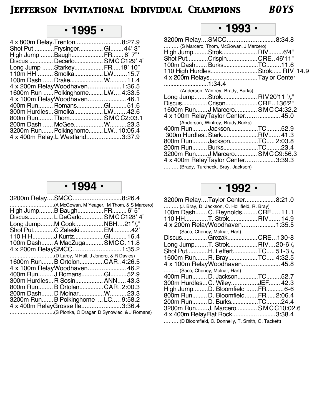## **• 1995 •**

| 4 x 800m Relay. Trenton 8:27.9    |  |
|-----------------------------------|--|
| Shot Put Frysinger Gl 44' 3"      |  |
| High Jump BaughFR 6' 7"*          |  |
| Discus  Decarlo SMCC129' 4"       |  |
| Long Jump StarkeyFR19' 10"        |  |
| 110m HH  Smolka LW15.7            |  |
| 100m Dash  Drake W 11.4           |  |
| 4 x 200m RelayWoodhaven 1:36.5    |  |
| 1600m Run  Polkinghorne LW 4:33.5 |  |
| 4 x 100m RelayWoodhaven 46.1      |  |
| 400m Run RomansGl51.6             |  |
| 300m Hurdles Smolka LW42.6        |  |
| 800m Run Thom SMCC2:03.1          |  |
| 200m Dash  McGee W 23.3           |  |
| 3200m Run Polkinghorne LW10:05.4  |  |
| 4 x 400m Relay.L Westland3:37.9   |  |
|                                   |  |

## **• 1993 •**

| 3200m RelaySMCC8:34.8                                 |  |
|-------------------------------------------------------|--|
| (S Marcero, Thom, McGowan, J Marcero)                 |  |
| High JumpStrok RIV6'4"                                |  |
| Shot PutCrispinCRE46'11"                              |  |
| 100m Dash BurksTC11.6                                 |  |
| 110 High HurdlesStrok RIV 14.9                        |  |
| 4 x 200m RelaysTaylor Center                          |  |
|                                                       |  |
| (Anderson, Winfrey, Brady, Burks)                     |  |
| Long JumpStrok RIV20'11 <sup>1</sup> / <sub>2</sub> " |  |
| Discus Crison CRE 136'2"                              |  |
| 1600m RunJ Marcero SMCC4:32.2                         |  |
| 4 x 100m RelayTaylor Center  45.0                     |  |
| (Anderson, Winfrey, Brady, Burks)                     |  |
| 400m Run JacksonTC52.9                                |  |
| 300m Hurdles StarkRIV 41.3                            |  |
| 800m Run JacksonTC 2:03.8                             |  |
| 200m Run BurksTC23.4                                  |  |
| 3200m RunJ Marcero SMCC9:56.3                         |  |
| 4 x 400m RelayTaylor Center 3:39.3                    |  |
| (Brady, Turcheck, Bray, Jackson)                      |  |

#### **• 1994 •**

| 3200m RelaySMCC8:26.4              |                                             |
|------------------------------------|---------------------------------------------|
|                                    |                                             |
| High JumpB BaughFR 6' 5"           |                                             |
| Discus L DeCarlo SMCC128' 4"       |                                             |
| Long JumpM CookNBH21"/2"           |                                             |
| Shot PutC Zaleski EM42'            |                                             |
| 110 H HJ KuntzGl 16.4              |                                             |
| 100m Dash A MacZugaSMCC.11.8       |                                             |
| 4 x 200m RelaySMCC 1:35.2          |                                             |
|                                    |                                             |
| 1600m RunB OrtolonCAR4:26.5        |                                             |
| 4 x 100m RelayWoodhaven 46.2       |                                             |
| 400m Run J RomansGl52.9            |                                             |
| 300m HurdlesR Sosin ANN 43.3       |                                             |
| 800m Run B OrtolanCAR2:00.3        |                                             |
| 200m Dash D MolnarW23.3            |                                             |
| 3200m RunB Polkinghorne  LC 9:58.2 |                                             |
| 4 x 400m RelayGrosse Ile3:36.4     |                                             |
|                                    | (S Plonka, C Dragan D Synowiec, & J Romans) |

## **• 1992 •**

|                              | 3200m RelayTaylor Center8:21.0                         |  |
|------------------------------|--------------------------------------------------------|--|
|                              | (J. Bray, D. Jackson, C. Hollifield, R. Bray)          |  |
|                              | 100m Dash C. ReynoldsCRE 11.1                          |  |
|                              | 110 HHT. StrokRIV 14.9                                 |  |
|                              | 4 x 200m RelayWoodhaven 1:35.5                         |  |
| (Saco, Cheney, Molnar, Hart) |                                                        |  |
|                              | Discus Grezak CRE130-8                                 |  |
|                              | Long JumpT. StrokRIV20-6 <sup>1</sup> / <sub>4</sub>   |  |
|                              | Shot PutH. Leffert TC 51-3 <sup>1</sup> / <sub>2</sub> |  |
|                              | 1600m RunR. BrayTC 4:32.5                              |  |
|                              | 4 x 100m RelayWoodhaven 45.8                           |  |
| (Saco, Cheney, Molnar, Hart) |                                                        |  |
|                              | 400m Run D. JacksonTC52.7                              |  |
|                              | 300m HurdlesC. WileyJEF 42.3                           |  |
|                              | High JumpD. Bloomfield FR6-6                           |  |
|                              | 800m Run D. BloomfieldFR2:06.4                         |  |
|                              | 200m Run D. BurksTC24.4                                |  |
|                              | 3200m RunJ. Marcero SMCC10:02.6                        |  |
|                              | 4 x 400m RelayFlat Rock 3:38.4                         |  |
|                              | (D Bloomfield, C. Donnelly, T. Smith, G. Tackett)      |  |
|                              |                                                        |  |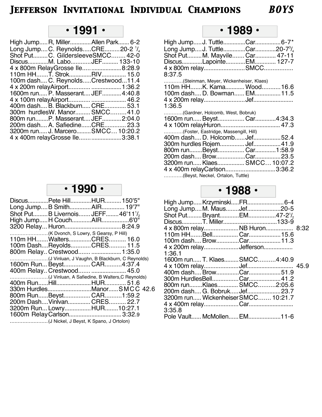## **• 1991 •**

| High Jump R, Miller Allen Park 6-2                      |  |  |
|---------------------------------------------------------|--|--|
| Long JumpC. ReynoldsCRE20-2 <sup>1</sup> / <sub>4</sub> |  |  |
| Shot PutC. GildersleeveSMCC 42-0                        |  |  |
| DiscusM. LaboJEF 133-10                                 |  |  |
| 4 x 800m RelayGrosse Ile8:28.9                          |  |  |
| 110m HHT. StrokRIV 15.0                                 |  |  |
| 100m dash C. Reynolds Crestwood11.4                     |  |  |
|                                                         |  |  |
| 1600m run P. Masserant JEF 4:40.8                       |  |  |
|                                                         |  |  |
| 400m dash B. Blackburn CRE 53.1                         |  |  |
| 300m hurdlesW. Manor SMCC41.0                           |  |  |
| 800m runP. Masserant JEF 2:04.0                         |  |  |
| 200m dash A. SafiedineCRE 23.3                          |  |  |
| 3200m run J. Marcero SMCC 10:20.2                       |  |  |
| 4 x 400m relayGrosse Ile3:38.1                          |  |  |
|                                                         |  |  |

## **• 1990 •**

| DiscusPete HillHUR 150'5"                       |  |  |
|-------------------------------------------------|--|--|
| Long JumpB SmithAIR 19'7"                       |  |  |
| Shot PutB Livernois JEFF 46'11'/                |  |  |
| High JumpH CouchAIR6'0"                         |  |  |
|                                                 |  |  |
|                                                 |  |  |
| 110m HHWaltersCRES 16.0                         |  |  |
| 100m DashReyoldsCRES 11.5                       |  |  |
| 800m Relay Crestwood  1:35.0                    |  |  |
| (J Vinluan, J Vaughn, B Blackburn, C Reynolds)  |  |  |
| 1600m Run Beyst CAR4:37.4                       |  |  |
| 400m Relay Crestwood  45.0                      |  |  |
| (J Vinluan, A Safiedine, B Walters, C Reynolds) |  |  |
|                                                 |  |  |
| 330m HurdlesManorSMCC 42.6                      |  |  |
| 800m RunBeyst CAR1:59.2                         |  |  |
| 200m DashVinlvan CRES 22.7                      |  |  |
| 3200m Run LowryHUR10:27.1                       |  |  |
| 1600m Relay Carlson 3:32.9                      |  |  |
| (J Nickel, J Beyst, K Spano, J Ortolon)         |  |  |
|                                                 |  |  |

#### **• 1989 •**

| High JumpJ. TuttleCar6-7*                             |  |
|-------------------------------------------------------|--|
| Long JumpJ. TuttleCar20-7 <sup>3</sup> / <sub>4</sub> |  |
| Shot PutM. Mayvile Car 47-11                          |  |
| DiscusLapointeEM 127-7                                |  |
|                                                       |  |
| 8:37.5                                                |  |
| (Steinman, Meyer, Wickenheiser, Klaes)                |  |
| 110m HHK. Kama Wood 16.6                              |  |
| 100m dash D. Bowman EM 11.5                           |  |
|                                                       |  |
| 1:36.5                                                |  |
| (Gardner, Holcomb, West, Bobruk)                      |  |
| 1600m run Beyst Car4:34.3                             |  |
|                                                       |  |
| (Foster, Eastridge, Massengill, Hill)                 |  |
| 400m dash D. Holcomb Jef 52.4                         |  |
| 300m hurdles Rojem Jef 41.9                           |  |
| 800m runBeyst Car1:58.9                               |  |
| 200m dash BrowCar23.5                                 |  |
| 3200m run Klaes SMCC 10:07.2                          |  |
| 4 x 400m relayCarlson3:36.2                           |  |
| (Beyst, Neckel, Ortalon, Tuttle)                      |  |

#### **• 1988 •**

| High Jump KrzyminskiFR 6-4                       |  |      |
|--------------------------------------------------|--|------|
| Long JumpM. MausJef20-5                          |  |      |
| Shot PutBryantEM47-2 <sup>1</sup> / <sub>2</sub> |  |      |
|                                                  |  |      |
| 4 x 800m relay NB Huron 8:32                     |  |      |
|                                                  |  |      |
| 100m dash BrowCar 11.3                           |  |      |
| 4 x 200m relayJefferson                          |  |      |
| 1:36.1                                           |  |      |
| 1600m run T. Klaes SMCC4:40.9                    |  |      |
|                                                  |  | 45.9 |
|                                                  |  |      |
|                                                  |  |      |
| 800m runKlaes SMCC2:05.6                         |  |      |
| 200m dash G. Bobruk Jef 23.7                     |  |      |
| 3200m run Wickenheiser SMCC 10:21.7              |  |      |
|                                                  |  |      |
| 3:35.8                                           |  |      |
| Pole Vault McMollen EM11-6                       |  |      |